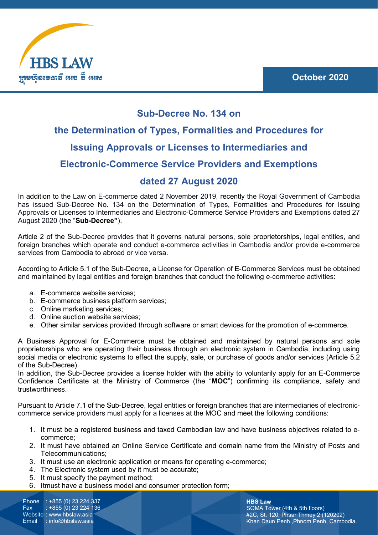

# **Sub-Decree No. 134 on**

# **the Determination of Types, Formalities and Procedures for Issuing Approvals or Licenses to Intermediaries and Electronic-Commerce Service Providers and Exemptions**

## **dated 27 August 2020**

In addition to the Law on E-commerce dated 2 November 2019, recently the Royal Government of Cambodia has issued Sub-Decree No. 134 on the Determination of Types, Formalities and Procedures for Issuing Approvals or Licenses to Intermediaries and Electronic-Commerce Service Providers and Exemptions dated 27 August 2020 (the "**Sub-Decree"**).

Article 2 of the Sub-Decree provides that it governs natural persons, sole proprietorships, legal entities, and foreign branches which operate and conduct e-commerce activities in Cambodia and/or provide e-commerce services from Cambodia to abroad or vice versa.

According to Article 5.1 of the Sub-Decree, a License for Operation of E-Commerce Services must be obtained and maintained by legal entities and foreign branches that conduct the following e-commerce activities:

- a. E-commerce website services;
- b. E-commerce business platform services;
- c. Online marketing services;
- d. Online auction website services;
- e. Other similar services provided through software or smart devices for the promotion of e-commerce.

A Business Approval for E-Commerce must be obtained and maintained by natural persons and sole proprietorships who are operating their business through an electronic system in Cambodia, including using social media or electronic systems to effect the supply, sale, or purchase of goods and/or services (Article 5.2 of the Sub-Decree).

In addition, the Sub-Decree provides a license holder with the ability to voluntarily apply for an E-Commerce Confidence Certificate at the Ministry of Commerce (the "**MOC**") confirming its compliance, safety and trustworthiness.

Pursuant to Article 7.1 of the Sub-Decree, legal entities or foreign branches that are intermediaries of electroniccommerce service providers must apply for a licenses at the MOC and meet the following conditions:

- 1. It must be a registered business and taxed Cambodian law and have business objectives related to ecommerce;
- 2. It must have obtained an Online Service Certificate and domain name from the Ministry of Posts and Telecommunications;
- 3. It must use an electronic application or means for operating e-commerce;
- 4. The Electronic system used by it must be accurate;
- 5. It must specify the payment method;
- 6. Itmust have a business model and consumer protection form;

Phone : +855 (0) 23 224 337 Fax : +855 (0) 23 224 136 Website : www.hbslaw.asia<br>Email : info@hbslaw.asia  $\therefore$  info@hbslaw.asia

**HBS Law** SOMA Tower (4th & 5th floors) #2C, St. 120, Phsar Thmey 2 (120202) Khan Daun Penh ,Phnom Penh, Cambodia.